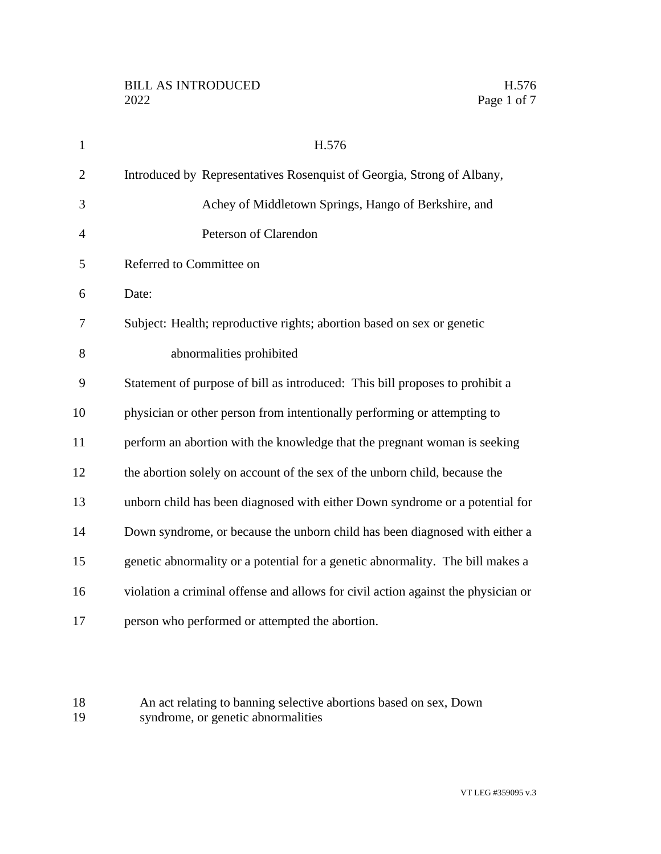| $\mathbf{1}$   | H.576                                                                             |
|----------------|-----------------------------------------------------------------------------------|
| $\overline{2}$ | Introduced by Representatives Rosenquist of Georgia, Strong of Albany,            |
| 3              | Achey of Middletown Springs, Hango of Berkshire, and                              |
| 4              | Peterson of Clarendon                                                             |
| 5              | Referred to Committee on                                                          |
| 6              | Date:                                                                             |
| 7              | Subject: Health; reproductive rights; abortion based on sex or genetic            |
| 8              | abnormalities prohibited                                                          |
| 9              | Statement of purpose of bill as introduced: This bill proposes to prohibit a      |
| 10             | physician or other person from intentionally performing or attempting to          |
| 11             | perform an abortion with the knowledge that the pregnant woman is seeking         |
| 12             | the abortion solely on account of the sex of the unborn child, because the        |
| 13             | unborn child has been diagnosed with either Down syndrome or a potential for      |
| 14             | Down syndrome, or because the unborn child has been diagnosed with either a       |
| 15             | genetic abnormality or a potential for a genetic abnormality. The bill makes a    |
| 16             | violation a criminal offense and allows for civil action against the physician or |
| 17             | person who performed or attempted the abortion.                                   |
|                |                                                                                   |

18 An act relating to banning selective abortions based on sex, Down<br>19 syndrome, or genetic abnormalities syndrome, or genetic abnormalities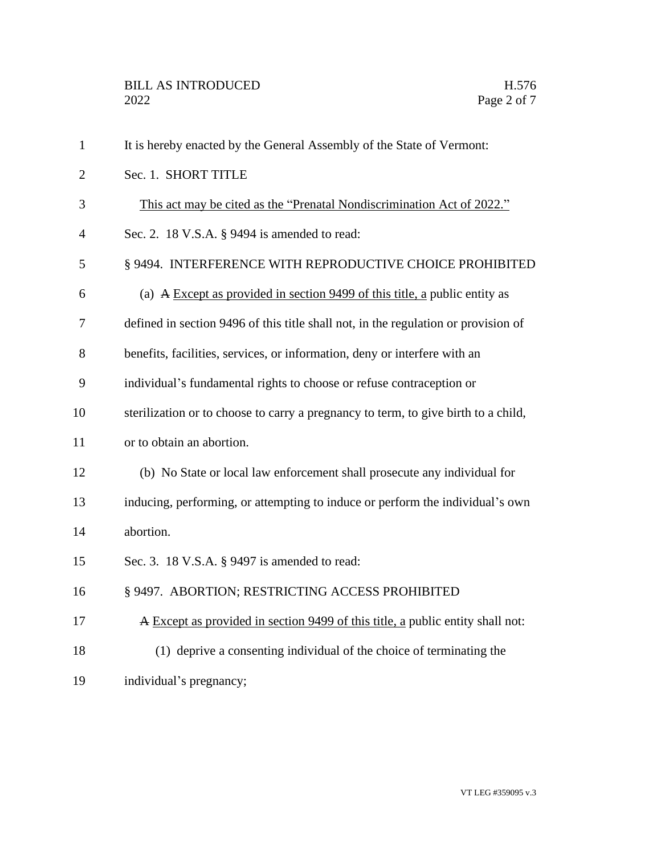| $\mathbf{1}$   | It is hereby enacted by the General Assembly of the State of Vermont:              |
|----------------|------------------------------------------------------------------------------------|
| $\overline{2}$ | Sec. 1. SHORT TITLE                                                                |
| 3              | This act may be cited as the "Prenatal Nondiscrimination Act of 2022."             |
| $\overline{4}$ | Sec. 2. 18 V.S.A. § 9494 is amended to read:                                       |
| 5              | § 9494. INTERFERENCE WITH REPRODUCTIVE CHOICE PROHIBITED                           |
| 6              | (a) A Except as provided in section $9499$ of this title, a public entity as       |
| 7              | defined in section 9496 of this title shall not, in the regulation or provision of |
| 8              | benefits, facilities, services, or information, deny or interfere with an          |
| 9              | individual's fundamental rights to choose or refuse contraception or               |
| 10             | sterilization or to choose to carry a pregnancy to term, to give birth to a child, |
| 11             | or to obtain an abortion.                                                          |
| 12             | (b) No State or local law enforcement shall prosecute any individual for           |
| 13             | inducing, performing, or attempting to induce or perform the individual's own      |
| 14             | abortion.                                                                          |
| 15             | Sec. 3. 18 V.S.A. § 9497 is amended to read:                                       |
| 16             | § 9497. ABORTION; RESTRICTING ACCESS PROHIBITED                                    |
| 17             | A Except as provided in section 9499 of this title, a public entity shall not:     |
| 18             | (1) deprive a consenting individual of the choice of terminating the               |
| 19             | individual's pregnancy;                                                            |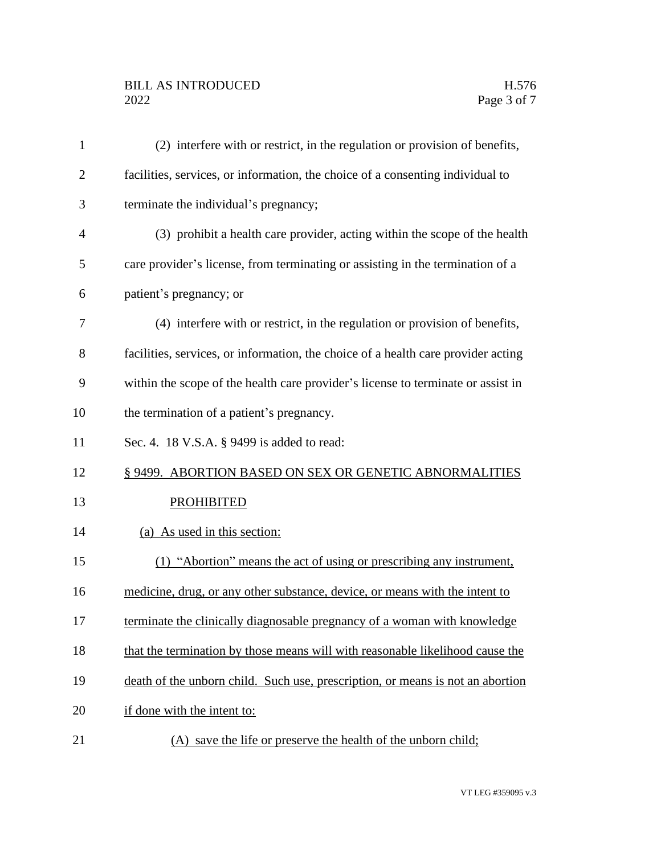## BILL AS INTRODUCED H.576<br>2022 Page 3 of 7

| $\mathbf{1}$   | (2) interfere with or restrict, in the regulation or provision of benefits,       |
|----------------|-----------------------------------------------------------------------------------|
| $\overline{2}$ | facilities, services, or information, the choice of a consenting individual to    |
| 3              | terminate the individual's pregnancy;                                             |
| 4              | (3) prohibit a health care provider, acting within the scope of the health        |
| 5              | care provider's license, from terminating or assisting in the termination of a    |
| 6              | patient's pregnancy; or                                                           |
| 7              | (4) interfere with or restrict, in the regulation or provision of benefits,       |
| 8              | facilities, services, or information, the choice of a health care provider acting |
| 9              | within the scope of the health care provider's license to terminate or assist in  |
| 10             | the termination of a patient's pregnancy.                                         |
| 11             | Sec. 4. 18 V.S.A. § 9499 is added to read:                                        |
| 12             | § 9499. ABORTION BASED ON SEX OR GENETIC ABNORMALITIES                            |
| 13             | <b>PROHIBITED</b>                                                                 |
| 14             | (a) As used in this section:                                                      |
| 15             | (1) "Abortion" means the act of using or prescribing any instrument,              |
| 16             | medicine, drug, or any other substance, device, or means with the intent to       |
| 17             | terminate the clinically diagnosable pregnancy of a woman with knowledge          |
| 18             | that the termination by those means will with reasonable likelihood cause the     |
| 19             | death of the unborn child. Such use, prescription, or means is not an abortion    |
| 20             | if done with the intent to:                                                       |
| 21             | (A) save the life or preserve the health of the unborn child;                     |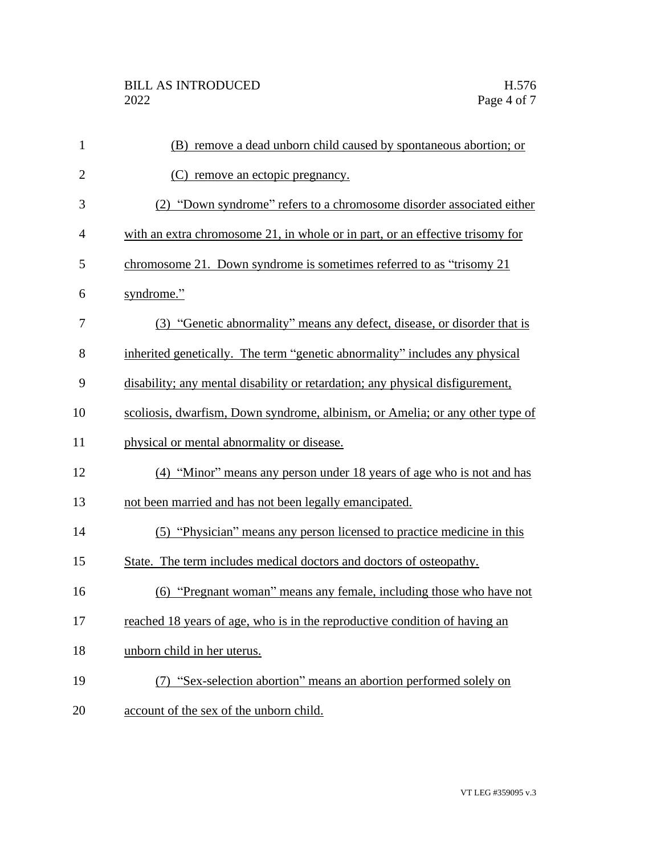| $\mathbf{1}$   | (B) remove a dead unborn child caused by spontaneous abortion; or             |
|----------------|-------------------------------------------------------------------------------|
| $\overline{2}$ | (C) remove an ectopic pregnancy.                                              |
| 3              | (2) "Down syndrome" refers to a chromosome disorder associated either         |
| $\overline{4}$ | with an extra chromosome 21, in whole or in part, or an effective trisomy for |
| 5              | chromosome 21. Down syndrome is sometimes referred to as "trisomy 21          |
| 6              | syndrome."                                                                    |
| 7              | (3) "Genetic abnormality" means any defect, disease, or disorder that is      |
| 8              | inherited genetically. The term "genetic abnormality" includes any physical   |
| 9              | disability; any mental disability or retardation; any physical disfigurement, |
| 10             | scoliosis, dwarfism, Down syndrome, albinism, or Amelia; or any other type of |
| 11             | physical or mental abnormality or disease.                                    |
| 12             | (4) "Minor" means any person under 18 years of age who is not and has         |
| 13             | not been married and has not been legally emancipated.                        |
| 14             | (5) "Physician" means any person licensed to practice medicine in this        |
| 15             | State. The term includes medical doctors and doctors of osteopathy.           |
| 16             | (6) "Pregnant woman" means any female, including those who have not           |
| 17             | reached 18 years of age, who is in the reproductive condition of having an    |
| 18             | unborn child in her uterus.                                                   |
| 19             | (7) "Sex-selection abortion" means an abortion performed solely on            |
| 20             | account of the sex of the unborn child.                                       |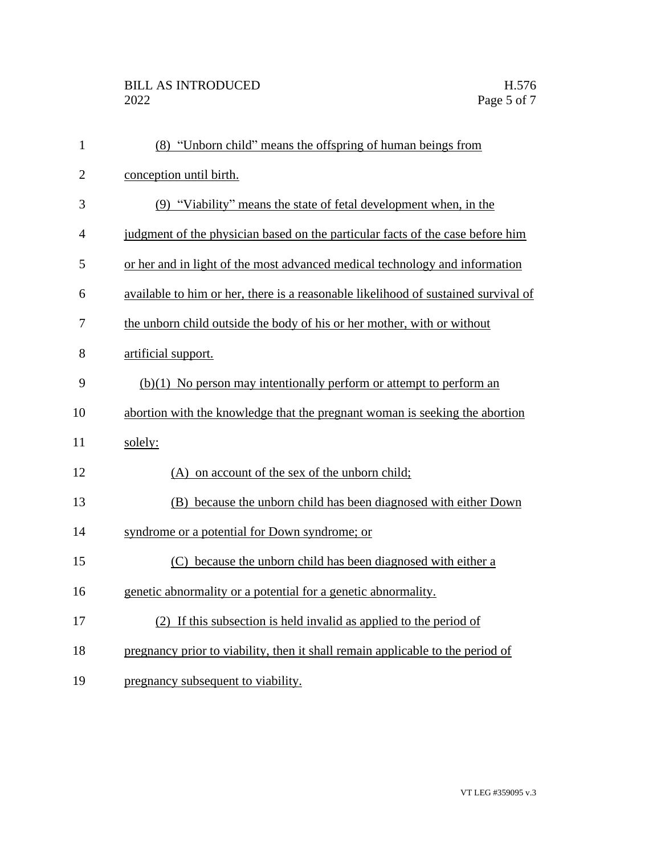| $\mathbf{1}$   | (8) "Unborn child" means the offspring of human beings from                        |
|----------------|------------------------------------------------------------------------------------|
| $\overline{2}$ | conception until birth.                                                            |
| 3              | (9) "Viability" means the state of fetal development when, in the                  |
| 4              | judgment of the physician based on the particular facts of the case before him     |
| 5              | or her and in light of the most advanced medical technology and information        |
| 6              | available to him or her, there is a reasonable likelihood of sustained survival of |
| 7              | the unborn child outside the body of his or her mother, with or without            |
| 8              | artificial support.                                                                |
| 9              | $(b)(1)$ No person may intentionally perform or attempt to perform an              |
| 10             | abortion with the knowledge that the pregnant woman is seeking the abortion        |
| 11             | solely:                                                                            |
| 12             | (A) on account of the sex of the unborn child;                                     |
| 13             | (B) because the unborn child has been diagnosed with either Down                   |
| 14             | syndrome or a potential for Down syndrome; or                                      |
| 15             | (C) because the unborn child has been diagnosed with either a                      |
| 16             | genetic abnormality or a potential for a genetic abnormality.                      |
| 17             | (2) If this subsection is held invalid as applied to the period of                 |
| 18             | pregnancy prior to viability, then it shall remain applicable to the period of     |
| 19             | pregnancy subsequent to viability.                                                 |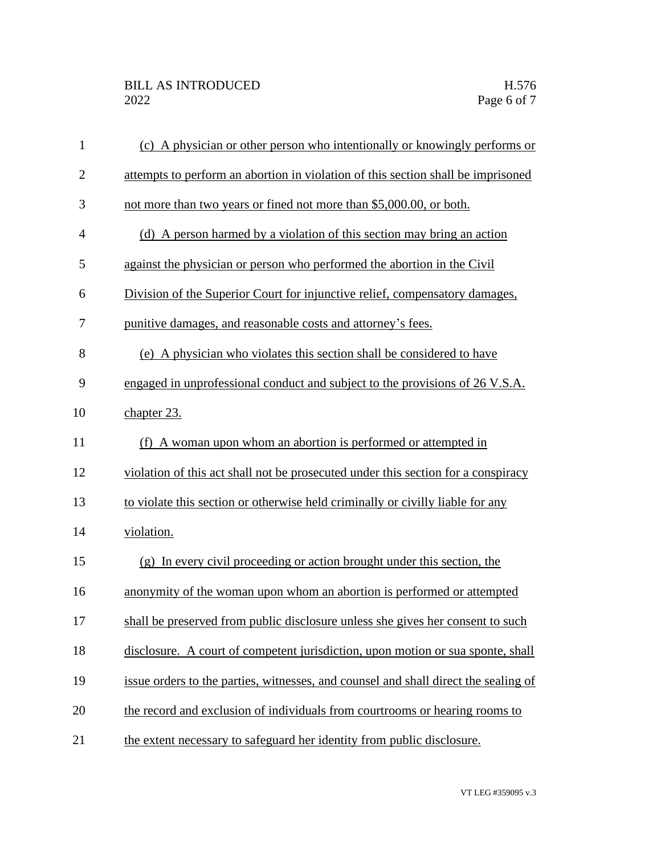| $\mathbf{1}$   | (c) A physician or other person who intentionally or knowingly performs or          |
|----------------|-------------------------------------------------------------------------------------|
| $\mathbf{2}$   | attempts to perform an abortion in violation of this section shall be imprisoned    |
| 3              | not more than two years or fined not more than \$5,000.00, or both.                 |
| $\overline{4}$ | (d) A person harmed by a violation of this section may bring an action              |
| 5              | against the physician or person who performed the abortion in the Civil             |
| 6              | Division of the Superior Court for injunctive relief, compensatory damages,         |
| 7              | punitive damages, and reasonable costs and attorney's fees.                         |
| 8              | (e) A physician who violates this section shall be considered to have               |
| 9              | engaged in unprofessional conduct and subject to the provisions of 26 V.S.A.        |
| 10             | chapter 23.                                                                         |
| 11             | (f) A woman upon whom an abortion is performed or attempted in                      |
| 12             | violation of this act shall not be prosecuted under this section for a conspiracy   |
| 13             | to violate this section or otherwise held criminally or civilly liable for any      |
| 14             | violation.                                                                          |
| 15             | (g) In every civil proceeding or action brought under this section, the             |
| 16             | anonymity of the woman upon whom an abortion is performed or attempted              |
| 17             | shall be preserved from public disclosure unless she gives her consent to such      |
| 18             | disclosure. A court of competent jurisdiction, upon motion or sua sponte, shall     |
| 19             | issue orders to the parties, witnesses, and counsel and shall direct the sealing of |
| 20             | the record and exclusion of individuals from courtrooms or hearing rooms to         |
| 21             | the extent necessary to safeguard her identity from public disclosure.              |